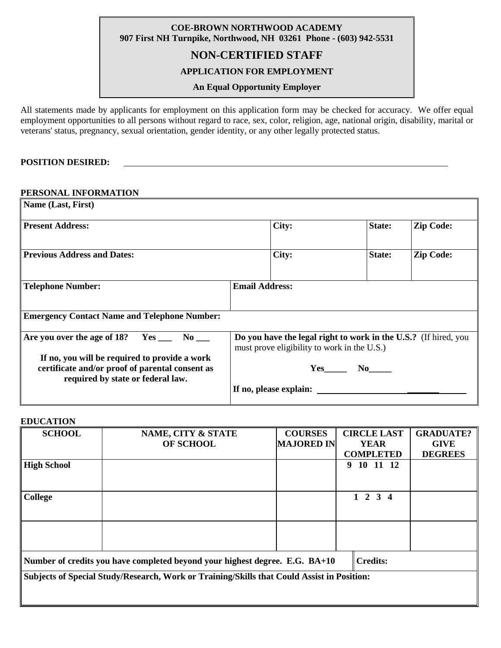## **COE-BROWN NORTHWOOD ACADEMY 907 First NH Turnpike, Northwood, NH 03261 Phone - (603) 942-5531**

# **NON-CERTIFIED STAFF**

## **APPLICATION FOR EMPLOYMENT**

### **An Equal Opportunity Employer**

All statements made by applicants for employment on this application form may be checked for accuracy. We offer equal employment opportunities to all persons without regard to race, sex, color, religion, age, national origin, disability, marital or veterans' status, pregnancy, sexual orientation, gender identity, or any other legally protected status.

#### **POSITION DESIRED:**

#### **PERSONAL INFORMATION**

| Name (Last, First)                                                                                                                    |                                                                                                                |          |                  |
|---------------------------------------------------------------------------------------------------------------------------------------|----------------------------------------------------------------------------------------------------------------|----------|------------------|
| <b>Present Address:</b>                                                                                                               | City:                                                                                                          | State:   | <b>Zip Code:</b> |
| <b>Previous Address and Dates:</b>                                                                                                    | City:                                                                                                          | State:   | <b>Zip Code:</b> |
| <b>Telephone Number:</b>                                                                                                              | <b>Email Address:</b>                                                                                          |          |                  |
| <b>Emergency Contact Name and Telephone Number:</b>                                                                                   |                                                                                                                |          |                  |
| Are you over the age of 18? $Yes \_ No \_ No$                                                                                         | Do you have the legal right to work in the U.S.? (If hired, you<br>must prove eligibility to work in the U.S.) |          |                  |
| If no, you will be required to provide a work<br>certificate and/or proof of parental consent as<br>required by state or federal law. |                                                                                                                | $Yes$ No |                  |
|                                                                                                                                       | If no, please explain:                                                                                         |          |                  |

#### **EDUCATION**

| <b>SCHOOL</b>                                                                                  | NAME, CITY & STATE | <b>COURSES</b>    | <b>CIRCLE LAST</b> | <b>GRADUATE?</b> |  |
|------------------------------------------------------------------------------------------------|--------------------|-------------------|--------------------|------------------|--|
|                                                                                                | OF SCHOOL          | <b>MAJORED IN</b> | <b>YEAR</b>        | <b>GIVE</b>      |  |
|                                                                                                |                    |                   | <b>COMPLETED</b>   | <b>DEGREES</b>   |  |
| <b>High School</b>                                                                             |                    |                   | 10 11 12<br>9      |                  |  |
|                                                                                                |                    |                   |                    |                  |  |
|                                                                                                |                    |                   |                    |                  |  |
| <b>College</b>                                                                                 |                    |                   | $1 \t2 \t3 \t4$    |                  |  |
|                                                                                                |                    |                   |                    |                  |  |
|                                                                                                |                    |                   |                    |                  |  |
|                                                                                                |                    |                   |                    |                  |  |
|                                                                                                |                    |                   |                    |                  |  |
|                                                                                                |                    |                   |                    |                  |  |
| <b>Credits:</b><br>Number of credits you have completed beyond your highest degree. E.G. BA+10 |                    |                   |                    |                  |  |
| Subjects of Special Study/Research, Work or Training/Skills that Could Assist in Position:     |                    |                   |                    |                  |  |
|                                                                                                |                    |                   |                    |                  |  |
|                                                                                                |                    |                   |                    |                  |  |
|                                                                                                |                    |                   |                    |                  |  |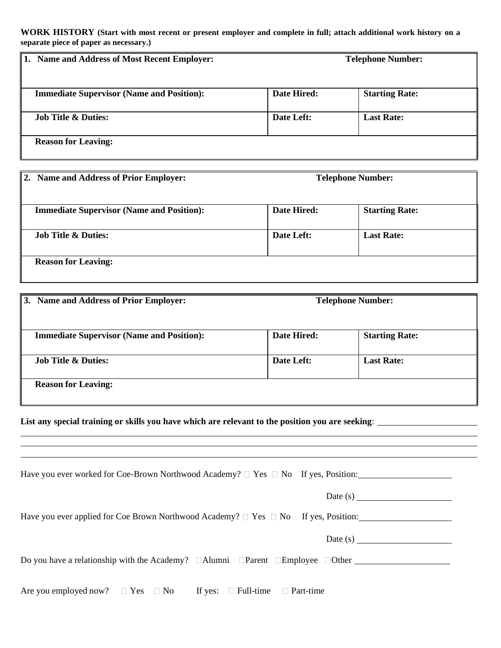**WORK HISTORY (Start with most recent or present employer and complete in full; attach additional work history on a separate piece of paper as necessary.)**

| <b>Name and Address of Most Recent Employer:</b><br>1. | <b>Telephone Number:</b> |                       |  |
|--------------------------------------------------------|--------------------------|-----------------------|--|
| <b>Immediate Supervisor (Name and Position):</b>       | Date Hired:              | <b>Starting Rate:</b> |  |
| <b>Job Title &amp; Duties:</b>                         | Date Left:               | <b>Last Rate:</b>     |  |
| <b>Reason for Leaving:</b>                             |                          |                       |  |

| 2. Name and Address of Prior Employer:           | <b>Telephone Number:</b> |                       |
|--------------------------------------------------|--------------------------|-----------------------|
|                                                  |                          |                       |
| <b>Immediate Supervisor (Name and Position):</b> | Date Hired:              | <b>Starting Rate:</b> |
| <b>Job Title &amp; Duties:</b>                   | Date Left:               | <b>Last Rate:</b>     |
|                                                  |                          |                       |
| <b>Reason for Leaving:</b>                       |                          |                       |
|                                                  |                          |                       |

| 3. Name and Address of Prior Employer:           | <b>Telephone Number:</b> |                       |
|--------------------------------------------------|--------------------------|-----------------------|
|                                                  |                          |                       |
| <b>Immediate Supervisor (Name and Position):</b> | Date Hired:              | <b>Starting Rate:</b> |
| <b>Job Title &amp; Duties:</b>                   | Date Left:               | <b>Last Rate:</b>     |
| <b>Reason for Leaving:</b>                       |                          |                       |

**List any special training or skills you have which are relevant to the position you are seeking**:

| Have you ever worked for Coe-Brown Northwood Academy? $\Box$ Yes $\Box$ No If yes, Position:          |
|-------------------------------------------------------------------------------------------------------|
| Date $(s)$                                                                                            |
| Have you ever applied for Coe Brown Northwood Academy? $\Box$ Yes $\Box$ No If yes, Position:         |
| Date $(s)$                                                                                            |
| Do you have a relationship with the Academy? $\Box$ Alumni $\Box$ Parent $\Box$ Employee $\Box$ Other |
| Are you employed now? $\square$ Yes $\square$ No If yes: $\square$ Full-time $\square$ Part-time      |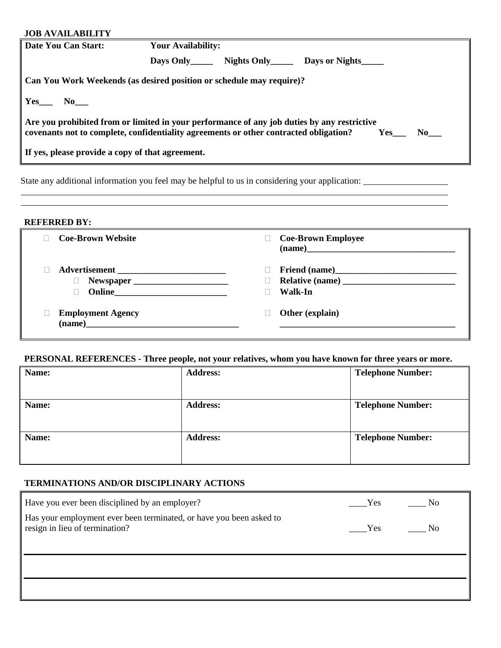| <b>JOB AVAILABILITY</b>                                                                                                                                                                                          |                                                                      |  |  |
|------------------------------------------------------------------------------------------------------------------------------------------------------------------------------------------------------------------|----------------------------------------------------------------------|--|--|
| Date You Can Start:                                                                                                                                                                                              | <b>Your Availability:</b>                                            |  |  |
|                                                                                                                                                                                                                  | Days Only Mights Only Days or Nights                                 |  |  |
|                                                                                                                                                                                                                  | Can You Work Weekends (as desired position or schedule may require)? |  |  |
| $\vert$ Yes_ No_                                                                                                                                                                                                 |                                                                      |  |  |
| $\parallel$ Are you prohibited from or limited in your performance of any job duties by any restrictive<br>covenants not to complete, confidentiality agreements or other contracted obligation?<br>Yes<br>No 11 |                                                                      |  |  |
| If yes, please provide a copy of that agreement.                                                                                                                                                                 |                                                                      |  |  |
|                                                                                                                                                                                                                  |                                                                      |  |  |

State any additional information you feel may be helpful to us in considering your application:

**REFERRED BY:**

| <b>Coe-Brown Website</b>           | <b>Coe-Brown Employee</b> |
|------------------------------------|---------------------------|
| Advertisement<br><b>Online</b>     | Walk-In                   |
| <b>Employment Agency</b><br>(name) | Other (explain)           |

## **PERSONAL REFERENCES - Three people, not your relatives, whom you have known for three years or more.**

| Name: | <b>Address:</b> | <b>Telephone Number:</b> |
|-------|-----------------|--------------------------|
|       |                 |                          |
| Name: | <b>Address:</b> | <b>Telephone Number:</b> |
|       |                 |                          |
| Name: | <b>Address:</b> | <b>Telephone Number:</b> |
|       |                 |                          |

## **TERMINATIONS AND/OR DISCIPLINARY ACTIONS**

| Have you ever been disciplined by an employer?                                                        | Yes | No   |
|-------------------------------------------------------------------------------------------------------|-----|------|
| Has your employment ever been terminated, or have you been asked to<br>resign in lieu of termination? | Yes | - No |
|                                                                                                       |     |      |
|                                                                                                       |     |      |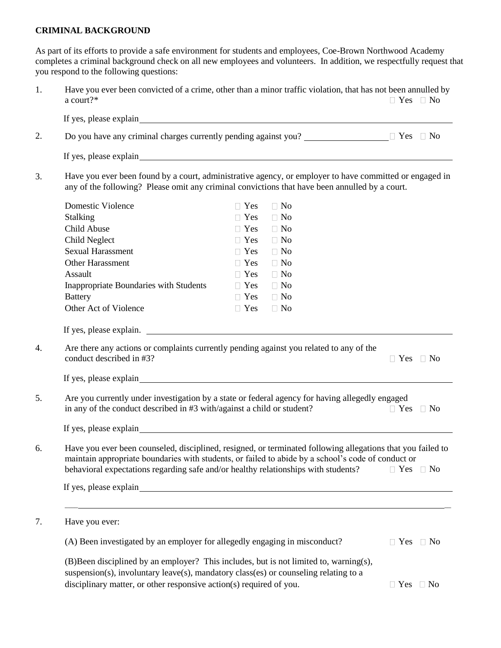#### **CRIMINAL BACKGROUND**

As part of its efforts to provide a safe environment for students and employees, Coe-Brown Northwood Academy completes a criminal background check on all new employees and volunteers. In addition, we respectfully request that you respond to the following questions:

1. Have you ever been convicted of a crime, other than a minor traffic violation, that has not been annulled by a court?\*  $\Box$  Yes  $\Box$  No

|                                                                        | Do you have any criminal charges currently pending against you? $\Box$ The $\Box$ Yes $\Box$ No                                                                                                                                                                                                                                           |                      |
|------------------------------------------------------------------------|-------------------------------------------------------------------------------------------------------------------------------------------------------------------------------------------------------------------------------------------------------------------------------------------------------------------------------------------|----------------------|
|                                                                        | If yes, please explain solution of the state of the state of the state of the state of the state of the state of the state of the state of the state of the state of the state of the state of the state of the state of the s                                                                                                            |                      |
|                                                                        | Have you ever been found by a court, administrative agency, or employer to have committed or engaged in<br>any of the following? Please omit any criminal convictions that have been annulled by a court.                                                                                                                                 |                      |
| <b>Domestic Violence</b>                                               | $\Box$ No<br>$\Box$ Yes                                                                                                                                                                                                                                                                                                                   |                      |
| Stalking                                                               | $\Box$ No<br>$\Box$ Yes                                                                                                                                                                                                                                                                                                                   |                      |
| Child Abuse                                                            | $\Box$ Yes<br>$\Box$ No                                                                                                                                                                                                                                                                                                                   |                      |
| Child Neglect                                                          | $\Box$ Yes<br>$\Box$ No                                                                                                                                                                                                                                                                                                                   |                      |
| <b>Sexual Harassment</b>                                               | $\Box$ No<br>$\Box$ Yes                                                                                                                                                                                                                                                                                                                   |                      |
| <b>Other Harassment</b>                                                | $\Box$ Yes<br>$\Box$ No                                                                                                                                                                                                                                                                                                                   |                      |
| Assault                                                                | $\Box$ Yes<br>$\Box$ No                                                                                                                                                                                                                                                                                                                   |                      |
| Inappropriate Boundaries with Students                                 | $\Box$ No<br>$\Box$ Yes                                                                                                                                                                                                                                                                                                                   |                      |
| <b>Battery</b>                                                         | $\Box$ Yes<br>$\Box$ No                                                                                                                                                                                                                                                                                                                   |                      |
| Other Act of Violence                                                  | $\Box$ Yes<br>$\Box$ No                                                                                                                                                                                                                                                                                                                   |                      |
| in any of the conduct described in #3 with/against a child or student? | Are you currently under investigation by a state or federal agency for having allegedly engaged                                                                                                                                                                                                                                           | $\Box$ Yes $\Box$ No |
|                                                                        |                                                                                                                                                                                                                                                                                                                                           |                      |
|                                                                        | Have you ever been counseled, disciplined, resigned, or terminated following allegations that you failed to<br>maintain appropriate boundaries with students, or failed to abide by a school's code of conduct or<br>behavioral expectations regarding safe and/or healthy relationships with students?<br>If yes, please explain explain | $\Box$ Yes $\Box$ No |
| Have you ever:                                                         |                                                                                                                                                                                                                                                                                                                                           |                      |
|                                                                        | (A) Been investigated by an employer for allegedly engaging in misconduct?                                                                                                                                                                                                                                                                | $\Box$ Yes $\Box$ No |
|                                                                        | (B)Been disciplined by an employer? This includes, but is not limited to, warning(s),<br>suspension(s), involuntary leave(s), mandatory class(es) or counseling relating to a                                                                                                                                                             |                      |
| disciplinary matter, or other responsive action(s) required of you.    |                                                                                                                                                                                                                                                                                                                                           | $\Box$ Yes $\Box$ No |